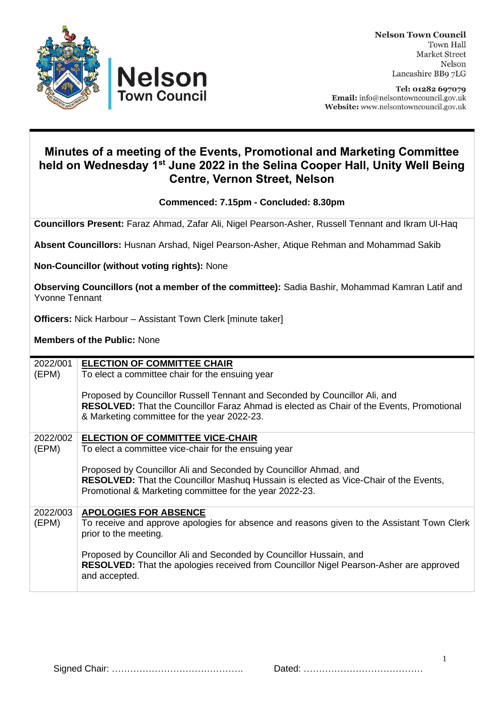



Tel: 01282 697079 Email: info@nelsontowncouncil.gov.uk Website: www.nelsontowncouncil.gov.uk

## **Minutes of a meeting of the Events, Promotional and Marketing Committee held on Wednesday 1 st June 2022 in the Selina Cooper Hall, Unity Well Being Centre, Vernon Street, Nelson**

**Commenced: 7.15pm - Concluded: 8.30pm**

**Councillors Present:** Faraz Ahmad, Zafar Ali, Nigel Pearson-Asher, Russell Tennant and Ikram Ul-Haq

**Absent Councillors:** Husnan Arshad, Nigel Pearson-Asher, Atique Rehman and Mohammad Sakib

**Non-Councillor (without voting rights):** None

**Observing Councillors (not a member of the committee):** Sadia Bashir, Mohammad Kamran Latif and Yvonne Tennant

**Officers:** Nick Harbour – Assistant Town Clerk [minute taker]

**n** Council

**Members of the Public:** None

| 2022/001 | <b>ELECTION OF COMMITTEE CHAIR</b>                                                                                                                                                                                         |
|----------|----------------------------------------------------------------------------------------------------------------------------------------------------------------------------------------------------------------------------|
| (EPM)    | To elect a committee chair for the ensuing year                                                                                                                                                                            |
|          | Proposed by Councillor Russell Tennant and Seconded by Councillor Ali, and<br>RESOLVED: That the Councillor Faraz Ahmad is elected as Chair of the Events, Promotional<br>& Marketing committee for the year 2022-23.      |
| 2022/002 | <b>ELECTION OF COMMITTEE VICE-CHAIR</b>                                                                                                                                                                                    |
| (EPM)    | To elect a committee vice-chair for the ensuing year                                                                                                                                                                       |
|          | Proposed by Councillor Ali and Seconded by Councillor Ahmad, and<br><b>RESOLVED:</b> That the Councillor Mashug Hussain is elected as Vice-Chair of the Events,<br>Promotional & Marketing committee for the year 2022-23. |
| 2022/003 | <b>APOLOGIES FOR ABSENCE</b>                                                                                                                                                                                               |
| (EPM)    | To receive and approve apologies for absence and reasons given to the Assistant Town Clerk<br>prior to the meeting.                                                                                                        |
|          | Proposed by Councillor Ali and Seconded by Councillor Hussain, and<br><b>RESOLVED:</b> That the apologies received from Councillor Nigel Pearson-Asher are approved<br>and accepted.                                       |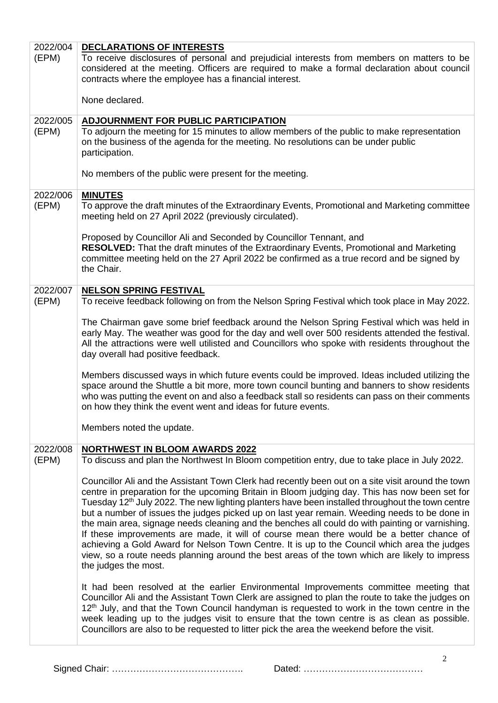| 2022/004<br>(EPM) | <b>DECLARATIONS OF INTERESTS</b><br>To receive disclosures of personal and prejudicial interests from members on matters to be                                                                                                                                                                                                                                                                                                                                                                                                                                                                                                                                                                                                                                                                                                              |
|-------------------|---------------------------------------------------------------------------------------------------------------------------------------------------------------------------------------------------------------------------------------------------------------------------------------------------------------------------------------------------------------------------------------------------------------------------------------------------------------------------------------------------------------------------------------------------------------------------------------------------------------------------------------------------------------------------------------------------------------------------------------------------------------------------------------------------------------------------------------------|
|                   | considered at the meeting. Officers are required to make a formal declaration about council                                                                                                                                                                                                                                                                                                                                                                                                                                                                                                                                                                                                                                                                                                                                                 |
|                   | contracts where the employee has a financial interest.                                                                                                                                                                                                                                                                                                                                                                                                                                                                                                                                                                                                                                                                                                                                                                                      |
|                   | None declared.                                                                                                                                                                                                                                                                                                                                                                                                                                                                                                                                                                                                                                                                                                                                                                                                                              |
| 2022/005          | <b>ADJOURNMENT FOR PUBLIC PARTICIPATION</b>                                                                                                                                                                                                                                                                                                                                                                                                                                                                                                                                                                                                                                                                                                                                                                                                 |
| (EPM)             | To adjourn the meeting for 15 minutes to allow members of the public to make representation<br>on the business of the agenda for the meeting. No resolutions can be under public<br>participation.                                                                                                                                                                                                                                                                                                                                                                                                                                                                                                                                                                                                                                          |
|                   | No members of the public were present for the meeting.                                                                                                                                                                                                                                                                                                                                                                                                                                                                                                                                                                                                                                                                                                                                                                                      |
| 2022/006          | <b>MINUTES</b>                                                                                                                                                                                                                                                                                                                                                                                                                                                                                                                                                                                                                                                                                                                                                                                                                              |
| (EPM)             | To approve the draft minutes of the Extraordinary Events, Promotional and Marketing committee<br>meeting held on 27 April 2022 (previously circulated).                                                                                                                                                                                                                                                                                                                                                                                                                                                                                                                                                                                                                                                                                     |
|                   | Proposed by Councillor Ali and Seconded by Councillor Tennant, and                                                                                                                                                                                                                                                                                                                                                                                                                                                                                                                                                                                                                                                                                                                                                                          |
|                   | <b>RESOLVED:</b> That the draft minutes of the Extraordinary Events, Promotional and Marketing<br>committee meeting held on the 27 April 2022 be confirmed as a true record and be signed by<br>the Chair.                                                                                                                                                                                                                                                                                                                                                                                                                                                                                                                                                                                                                                  |
| 2022/007          | <b>NELSON SPRING FESTIVAL</b>                                                                                                                                                                                                                                                                                                                                                                                                                                                                                                                                                                                                                                                                                                                                                                                                               |
| (EPM)             | To receive feedback following on from the Nelson Spring Festival which took place in May 2022.                                                                                                                                                                                                                                                                                                                                                                                                                                                                                                                                                                                                                                                                                                                                              |
|                   | The Chairman gave some brief feedback around the Nelson Spring Festival which was held in<br>early May. The weather was good for the day and well over 500 residents attended the festival.                                                                                                                                                                                                                                                                                                                                                                                                                                                                                                                                                                                                                                                 |
|                   | All the attractions were well utilisted and Councillors who spoke with residents throughout the<br>day overall had positive feedback.                                                                                                                                                                                                                                                                                                                                                                                                                                                                                                                                                                                                                                                                                                       |
|                   | Members discussed ways in which future events could be improved. Ideas included utilizing the<br>space around the Shuttle a bit more, more town council bunting and banners to show residents<br>who was putting the event on and also a feedback stall so residents can pass on their comments<br>on how they think the event went and ideas for future events.                                                                                                                                                                                                                                                                                                                                                                                                                                                                            |
|                   | Members noted the update.                                                                                                                                                                                                                                                                                                                                                                                                                                                                                                                                                                                                                                                                                                                                                                                                                   |
| 2022/008<br>(EPM) | <b>NORTHWEST IN BLOOM AWARDS 2022</b><br>To discuss and plan the Northwest In Bloom competition entry, due to take place in July 2022.                                                                                                                                                                                                                                                                                                                                                                                                                                                                                                                                                                                                                                                                                                      |
|                   | Councillor Ali and the Assistant Town Clerk had recently been out on a site visit around the town<br>centre in preparation for the upcoming Britain in Bloom judging day. This has now been set for<br>Tuesday 12 <sup>th</sup> July 2022. The new lighting planters have been installed throughout the town centre<br>but a number of issues the judges picked up on last year remain. Weeding needs to be done in<br>the main area, signage needs cleaning and the benches all could do with painting or varnishing.<br>If these improvements are made, it will of course mean there would be a better chance of<br>achieving a Gold Award for Nelson Town Centre. It is up to the Council which area the judges<br>view, so a route needs planning around the best areas of the town which are likely to impress<br>the judges the most. |
|                   | It had been resolved at the earlier Environmental Improvements committee meeting that<br>Councillor Ali and the Assistant Town Clerk are assigned to plan the route to take the judges on<br>12 <sup>th</sup> July, and that the Town Council handyman is requested to work in the town centre in the<br>week leading up to the judges visit to ensure that the town centre is as clean as possible.<br>Councillors are also to be requested to litter pick the area the weekend before the visit.                                                                                                                                                                                                                                                                                                                                          |

Signed Chair: ……………………………………. Dated: …………………………………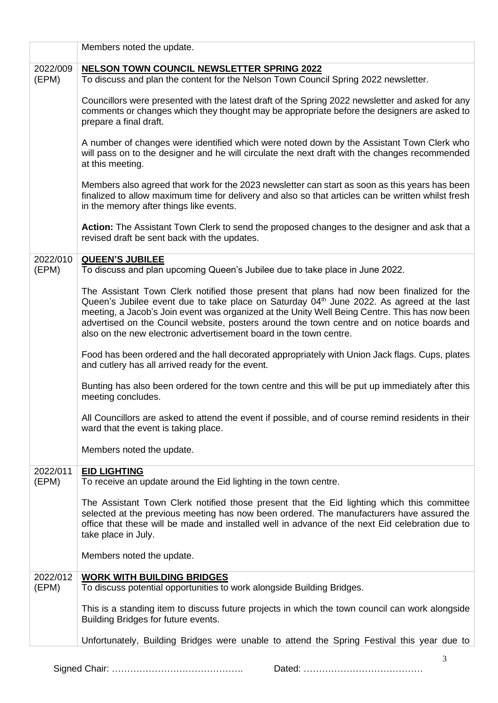|                   | Members noted the update.                                                                                                                                                                                                                                                                                                                                                                                                                                     |
|-------------------|---------------------------------------------------------------------------------------------------------------------------------------------------------------------------------------------------------------------------------------------------------------------------------------------------------------------------------------------------------------------------------------------------------------------------------------------------------------|
| 2022/009          | <b>NELSON TOWN COUNCIL NEWSLETTER SPRING 2022</b>                                                                                                                                                                                                                                                                                                                                                                                                             |
| (EPM)             | To discuss and plan the content for the Nelson Town Council Spring 2022 newsletter.                                                                                                                                                                                                                                                                                                                                                                           |
|                   | Councillors were presented with the latest draft of the Spring 2022 newsletter and asked for any<br>comments or changes which they thought may be appropriate before the designers are asked to<br>prepare a final draft.                                                                                                                                                                                                                                     |
|                   | A number of changes were identified which were noted down by the Assistant Town Clerk who<br>will pass on to the designer and he will circulate the next draft with the changes recommended<br>at this meeting.                                                                                                                                                                                                                                               |
|                   | Members also agreed that work for the 2023 newsletter can start as soon as this years has been<br>finalized to allow maximum time for delivery and also so that articles can be written whilst fresh<br>in the memory after things like events.                                                                                                                                                                                                               |
|                   | Action: The Assistant Town Clerk to send the proposed changes to the designer and ask that a<br>revised draft be sent back with the updates.                                                                                                                                                                                                                                                                                                                  |
| 2022/010<br>(EPM) | <b>QUEEN'S JUBILEE</b><br>To discuss and plan upcoming Queen's Jubilee due to take place in June 2022.                                                                                                                                                                                                                                                                                                                                                        |
|                   | The Assistant Town Clerk notified those present that plans had now been finalized for the<br>Queen's Jubilee event due to take place on Saturday $04th$ June 2022. As agreed at the last<br>meeting, a Jacob's Join event was organized at the Unity Well Being Centre. This has now been<br>advertised on the Council website, posters around the town centre and on notice boards and<br>also on the new electronic advertisement board in the town centre. |
|                   | Food has been ordered and the hall decorated appropriately with Union Jack flags. Cups, plates<br>and cutlery has all arrived ready for the event.                                                                                                                                                                                                                                                                                                            |
|                   | Bunting has also been ordered for the town centre and this will be put up immediately after this<br>meeting concludes.                                                                                                                                                                                                                                                                                                                                        |
|                   | All Councillors are asked to attend the event if possible, and of course remind residents in their<br>ward that the event is taking place.                                                                                                                                                                                                                                                                                                                    |
|                   | Members noted the update.                                                                                                                                                                                                                                                                                                                                                                                                                                     |
| 2022/011<br>(EPM) | <b>EID LIGHTING</b><br>To receive an update around the Eid lighting in the town centre.                                                                                                                                                                                                                                                                                                                                                                       |
|                   | The Assistant Town Clerk notified those present that the Eid lighting which this committee<br>selected at the previous meeting has now been ordered. The manufacturers have assured the<br>office that these will be made and installed well in advance of the next Eid celebration due to<br>take place in July.                                                                                                                                             |
|                   | Members noted the update.                                                                                                                                                                                                                                                                                                                                                                                                                                     |
| 2022/012<br>(EPM) | <b>WORK WITH BUILDING BRIDGES</b><br>To discuss potential opportunities to work alongside Building Bridges.                                                                                                                                                                                                                                                                                                                                                   |
|                   | This is a standing item to discuss future projects in which the town council can work alongside<br>Building Bridges for future events.                                                                                                                                                                                                                                                                                                                        |
|                   | Unfortunately, Building Bridges were unable to attend the Spring Festival this year due to                                                                                                                                                                                                                                                                                                                                                                    |

Signed Chair: ……………………………………. Dated: …………………………………